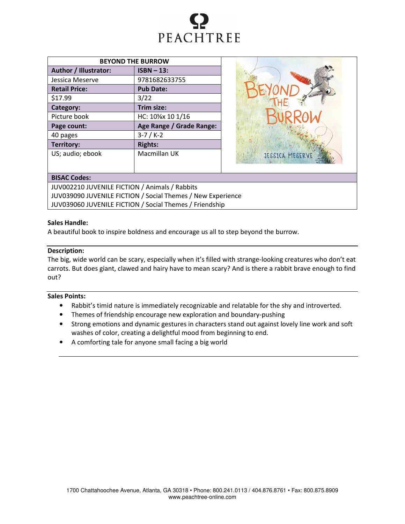

| <b>BEYOND THE BURROW</b> |                          |  |  |  |
|--------------------------|--------------------------|--|--|--|
| Author / Illustrator:    | $ISBN - 13:$             |  |  |  |
| Jessica Meserve          | 9781682633755            |  |  |  |
| <b>Retail Price:</b>     | <b>Pub Date:</b>         |  |  |  |
| \$17.99                  | 3/22                     |  |  |  |
| Category:                | Trim size:               |  |  |  |
| Picture book             | HC: 10%x 10 1/16         |  |  |  |
| Page count:              | Age Range / Grade Range: |  |  |  |
| 40 pages                 | $3-7 / K-2$              |  |  |  |
| Territory:               | <b>Rights:</b>           |  |  |  |
| US; audio; ebook         | Macmillan UK             |  |  |  |



## BISAC Codes:

JUV002210 JUVENILE FICTION / Animals / Rabbits JUV039090 JUVENILE FICTION / Social Themes / New Experience JUV039060 JUVENILE FICTION / Social Themes / Friendship

#### Sales Handle:

A beautiful book to inspire boldness and encourage us all to step beyond the burrow.

## Description:

The big, wide world can be scary, especially when it's filled with strange-looking creatures who don't eat carrots. But does giant, clawed and hairy have to mean scary? And is there a rabbit brave enough to find out?

# Sales Points:

- Rabbit's timid nature is immediately recognizable and relatable for the shy and introverted.
- Themes of friendship encourage new exploration and boundary-pushing
- Strong emotions and dynamic gestures in characters stand out against lovely line work and soft washes of color, creating a delightful mood from beginning to end.
- A comforting tale for anyone small facing a big world